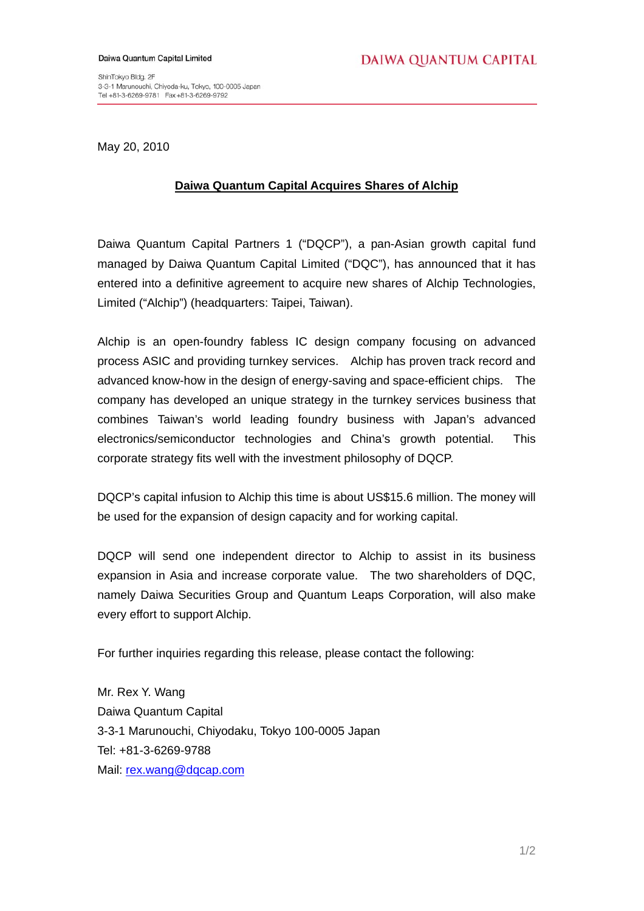ShinTokyo Bldg. 2F 3-3-1 Marunouchi, Chiyoda-ku, Tokyo, 100-0005 Japan 

May 20, 2010

## **Daiwa Quantum Capital Acquires Shares of Alchip**

Daiwa Quantum Capital Partners 1 ("DQCP"), a pan-Asian growth capital fund managed by Daiwa Quantum Capital Limited ("DQC"), has announced that it has entered into a definitive agreement to acquire new shares of Alchip Technologies, Limited ("Alchip") (headquarters: Taipei, Taiwan).

Alchip is an open-foundry fabless IC design company focusing on advanced process ASIC and providing turnkey services. Alchip has proven track record and advanced know-how in the design of energy-saving and space-efficient chips. The company has developed an unique strategy in the turnkey services business that combines Taiwan's world leading foundry business with Japan's advanced electronics/semiconductor technologies and China's growth potential. This corporate strategy fits well with the investment philosophy of DQCP.

DQCP's capital infusion to Alchip this time is about US\$15.6 million. The money will be used for the expansion of design capacity and for working capital.

DQCP will send one independent director to Alchip to assist in its business expansion in Asia and increase corporate value. The two shareholders of DQC, namely Daiwa Securities Group and Quantum Leaps Corporation, will also make every effort to support Alchip.

For further inquiries regarding this release, please contact the following:

Mr. Rex Y. Wang Daiwa Quantum Capital 3-3-1 Marunouchi, Chiyodaku, Tokyo 100-0005 Japan Tel: +81-3-6269-9788 Mail: [rex.wang@dqcap.com](mailto:rex.wang@dqcap.com)